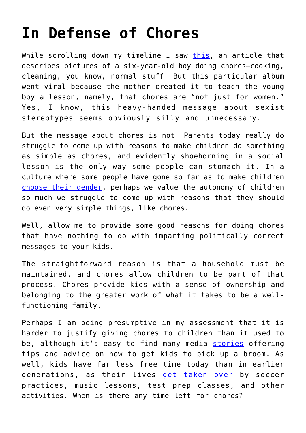## **[In Defense of Chores](https://intellectualtakeout.org/2016/10/in-defense-of-chores/)**

While scrolling down my timeline I saw [this](https://gma.yahoo.com/mom-teaches-son-chores-teach-him-not-just-172542881--abc-news-parenting.html?cid=abcn_tco), an article that describes pictures of a six-year-old boy doing chores—cooking, cleaning, you know, normal stuff. But this particular album went viral because the mother created it to teach the young boy a lesson, namely, that chores are "not just for women." Yes, I know, this heavy-handed message about sexist stereotypes seems obviously silly and unnecessary.

But the message about chores is not. Parents today really do struggle to come up with reasons to make children do something as simple as chores, and evidently shoehorning in a social lesson is the only way some people can stomach it. In a culture where some people have gone so far as to make children [choose their gender,](http://www.dailymail.co.uk/news/article-3548962/Now-children-young-FOUR-asked-choose-gender-start-school.html) perhaps we value the autonomy of children so much we struggle to come up with reasons that they should do even very simple things, like chores.

Well, allow me to provide some good reasons for doing chores that have nothing to do with imparting politically correct messages to your kids.

The straightforward reason is that a household must be maintained, and chores allow children to be part of that process. Chores provide kids with a sense of ownership and belonging to the greater work of what it takes to be a wellfunctioning family.

Perhaps I am being presumptive in my assessment that it is harder to justify giving chores to children than it used to be, although it's easy to find many media [stories](http://www.wsj.com/video/how-to-get-your-kids-to-love-their-chores/CD7040C9-D13E-4028-BF9F-E10ACD5423CF.html) offering tips and advice on how to get kids to pick up a broom. As well, kids have far less free time today than in earlier generations, as their lives [get taken over](http://www.nytimes.com/2013/10/13/fashion/over-scheduled-children-how-big-a-problem.html) by soccer practices, music lessons, test prep classes, and other activities. When is there any time left for chores?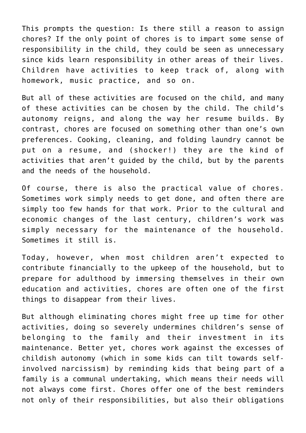This prompts the question: Is there still a reason to assign chores? If the only point of chores is to impart some sense of responsibility in the child, they could be seen as unnecessary since kids learn responsibility in other areas of their lives. Children have activities to keep track of, along with homework, music practice, and so on.

But all of these activities are focused on the child, and many of these activities can be chosen by the child. The child's autonomy reigns, and along the way her resume builds. By contrast, chores are focused on something other than one's own preferences. Cooking, cleaning, and folding laundry cannot be put on a resume, and (shocker!) they are the kind of activities that aren't guided by the child, but by the parents and the needs of the household.

Of course, there is also the practical value of chores. Sometimes work simply needs to get done, and often there are simply too few hands for that work. Prior to the cultural and economic changes of the last century, children's work was simply necessary for the maintenance of the household. Sometimes it still is.

Today, however, when most children aren't expected to contribute financially to the upkeep of the household, but to prepare for adulthood by immersing themselves in their own education and activities, chores are often one of the first things to disappear from their lives.

But although eliminating chores might free up time for other activities, doing so severely undermines children's sense of belonging to the family and their investment in its maintenance. Better yet, chores work against the excesses of childish autonomy (which in some kids can tilt towards selfinvolved narcissism) by reminding kids that being part of a family is a communal undertaking, which means their needs will not always come first. Chores offer one of the best reminders not only of their responsibilities, but also their obligations